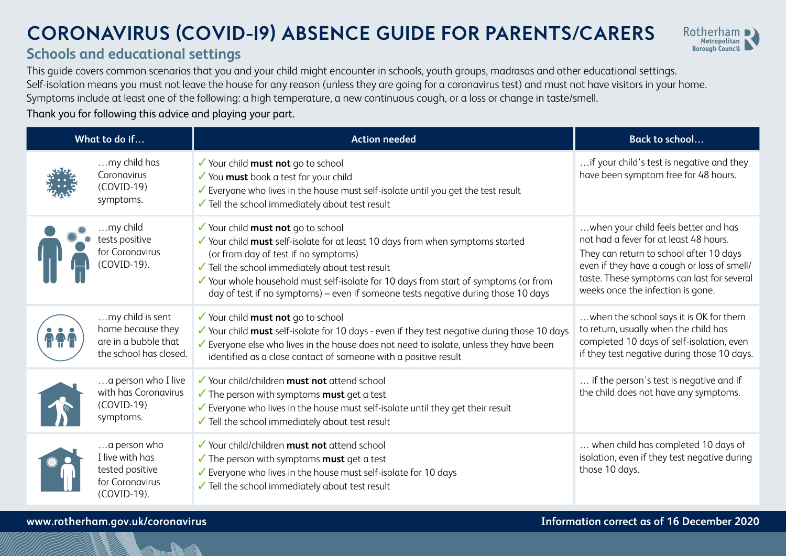## **CORONAVIRUS (COVID-19) ABSENCE GUIDE FOR PARENTS/CARERS**



## **Schools and educational settings**

This guide covers common scenarios that you and your child might encounter in schools, youth groups, madrasas and other educational settings. Self-isolation means you must not leave the house for any reason (unless they are going for a coronavirus test) and must not have visitors in your home. Symptoms include at least one of the following: a high temperature, a new continuous cough, or a loss or change in taste/smell.

## Thank you for following this advice and playing your part.

| What to do if |                                                                                         | <b>Action needed</b>                                                                                                                                                                                                                                                                                                                                                                         | <b>Back to school</b>                                                                                                                                                                                                                                       |
|---------------|-----------------------------------------------------------------------------------------|----------------------------------------------------------------------------------------------------------------------------------------------------------------------------------------------------------------------------------------------------------------------------------------------------------------------------------------------------------------------------------------------|-------------------------------------------------------------------------------------------------------------------------------------------------------------------------------------------------------------------------------------------------------------|
|               | my child has<br>Coronavirus<br>$(COVID-19)$<br>symptoms.                                | ✔ Your child must not go to school<br>✔ You must book a test for your child<br>✔ Everyone who lives in the house must self-isolate until you get the test result<br>Tell the school immediately about test result                                                                                                                                                                            | if your child's test is negative and they<br>have been symptom free for 48 hours.                                                                                                                                                                           |
|               | my child<br>tests positive<br>for Coronavirus<br>COVID-19).                             | ✔ Your child must not go to school<br>√ Your child must self-isolate for at least 10 days from when symptoms started<br>(or from day of test if no symptoms)<br>√ Tell the school immediately about test result<br>✔ Your whole household must self-isolate for 10 days from start of symptoms (or from<br>day of test if no symptoms) - even if someone tests negative during those 10 days | when your child feels better and has<br>not had a fever for at least 48 hours.<br>They can return to school after 10 days<br>even if they have a cough or loss of smell/<br>taste. These symptoms can last for several<br>weeks once the infection is gone. |
|               | my child is sent<br>home because they<br>are in a bubble that<br>the school has closed. | ✔ Your child must not go to school<br>√ Your child must self-isolate for 10 days - even if they test negative during those 10 days<br>Everyone else who lives in the house does not need to isolate, unless they have been<br>identified as a close contact of someone with a positive result                                                                                                | when the school says it is OK for them<br>to return, usually when the child has<br>completed 10 days of self-isolation, even<br>if they test negative during those 10 days.                                                                                 |
|               | a person who I live<br>with has Coronavirus<br>$(COVID-19)$<br>symptoms.                | ✔ Your child/children <b>must not</b> attend school<br>The person with symptoms <b>must</b> get a test<br>Everyone who lives in the house must self-isolate until they get their result<br>Tell the school immediately about test result                                                                                                                                                     | if the person's test is negative and if<br>the child does not have any symptoms.                                                                                                                                                                            |
|               | a person who<br>I live with has<br>tested positive<br>for Coronavirus<br>(COVID-19).    | ✔ Your child/children <b>must not</b> attend school<br>$\checkmark$ The person with symptoms <b>must</b> get a test<br>Everyone who lives in the house must self-isolate for 10 days<br>Tell the school immediately about test result                                                                                                                                                        | when child has completed 10 days of<br>isolation, even if they test negative during<br>those 10 days.                                                                                                                                                       |